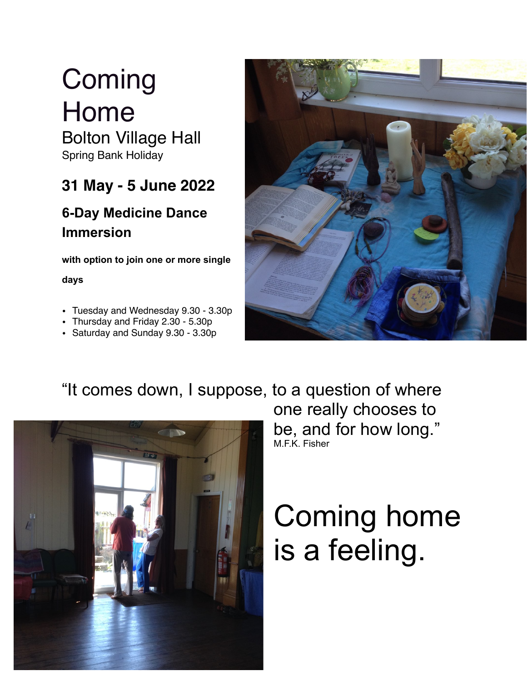# **Coming** Home

Bolton Village Hall Spring Bank Holiday

### **31 May - 5 June 2022**

### **6-Day Medicine Dance Immersion**

**with option to join one or more single** 

**days** 

- Tuesday and Wednesday 9.30 3.30p
- Thursday and Friday 2.30 5.30p
- Saturday and Sunday 9.30 3.30p



## "It comes down, I suppose, to a question of where



one really chooses to be, and for how long." M.F.K. Fisher

# Coming home is a feeling.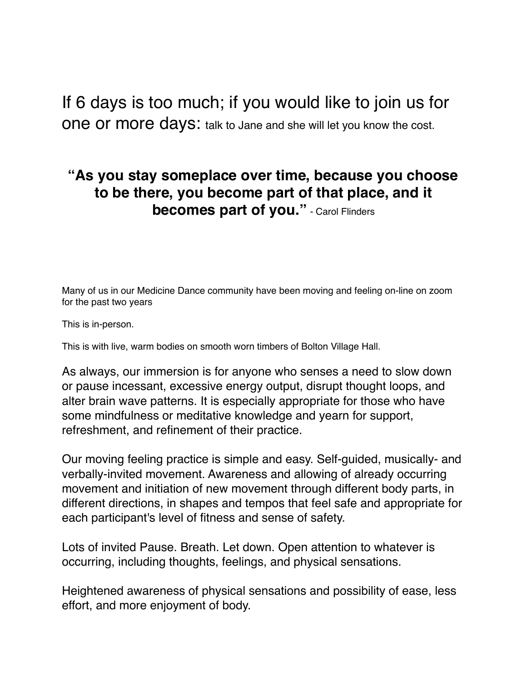If 6 days is too much; if you would like to join us for one or more days: talk to Jane and she will let you know the cost.

#### **"As you stay someplace over time, because you choose to be there, you become part of that place, and it becomes part of you."** - Carol Flinders

Many of us in our Medicine Dance community have been moving and feeling on-line on zoom for the past two years

This is in-person.

This is with live, warm bodies on smooth worn timbers of Bolton Village Hall.

As always, our immersion is for anyone who senses a need to slow down or pause incessant, excessive energy output, disrupt thought loops, and alter brain wave patterns. It is especially appropriate for those who have some mindfulness or meditative knowledge and yearn for support, refreshment, and refinement of their practice.

Our moving feeling practice is simple and easy. Self-guided, musically- and verbally-invited movement. Awareness and allowing of already occurring movement and initiation of new movement through different body parts, in different directions, in shapes and tempos that feel safe and appropriate for each participant's level of fitness and sense of safety.

Lots of invited Pause. Breath. Let down. Open attention to whatever is occurring, including thoughts, feelings, and physical sensations.

Heightened awareness of physical sensations and possibility of ease, less effort, and more enjoyment of body.